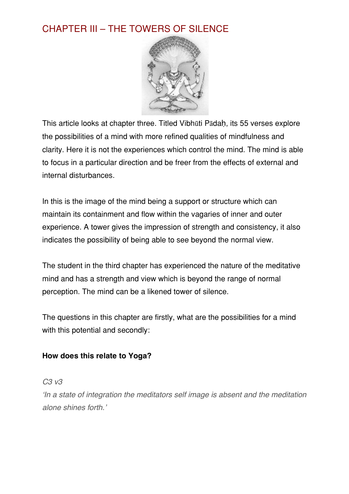# CHAPTER III – THE TOWERS OF SILENCE



This article looks at chapter three. Titled Vibhūti Pādaḥ, its 55 verses explore the possibilities of a mind with more refined qualities of mindfulness and clarity. Here it is not the experiences which control the mind. The mind is able to focus in a particular direction and be freer from the effects of external and internal disturbances.

In this is the image of the mind being a support or structure which can maintain its containment and flow within the vagaries of inner and outer experience. A tower gives the impression of strength and consistency, it also indicates the possibility of being able to see beyond the normal view.

The student in the third chapter has experienced the nature of the meditative mind and has a strength and view which is beyond the range of normal perception. The mind can be a likened tower of silence.

The questions in this chapter are firstly, what are the possibilities for a mind with this potential and secondly:

#### **How does this relate to Yoga?**

*C3 v3*

ʻ*In a state of integration the meditators self image is absent and the meditation alone shines forth.*'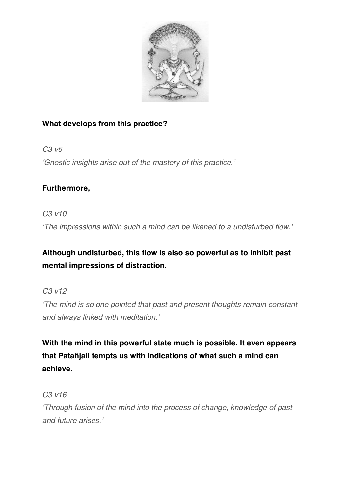

### **What develops from this practice?**

*C3 v5* ʻ*Gnostic insights arise out of the mastery of this practice.*'

## **Furthermore,**

*C3 v10*

ʻ*The impressions within such a mind can be likened to a undisturbed flow.*'

## **Although undisturbed, this flow is also so powerful as to inhibit past mental impressions of distraction.**

*C3 v12*

ʻ*The mind is so one pointed that past and present thoughts remain constant and always linked with meditation.*'

**With the mind in this powerful state much is possible. It even appears that Patañjali tempts us with indications of what such a mind can achieve.**

*C3 v16*

ʻ*Through fusion of the mind into the process of change, knowledge of past and future arises.*'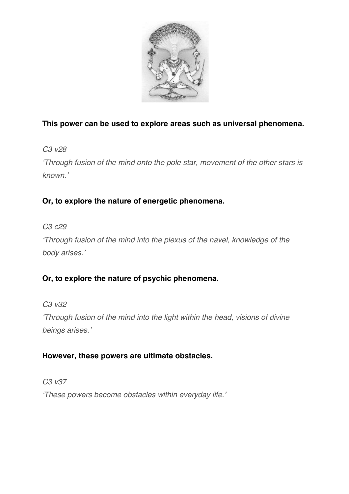

### **This power can be used to explore areas such as universal phenomena.**

*C3 v28*

ʻ*Through fusion of the mind onto the pole star, movement of the other stars is known.*'

## **Or, to explore the nature of energetic phenomena.**

*C3 c29*

ʻ*Through fusion of the mind into the plexus of the navel, knowledge of the body arises.*'

## **Or, to explore the nature of psychic phenomena.**

*C3 v32*

ʻ*Through fusion of the mind into the light within the head, visions of divine beings arises.*'

#### **However, these powers are ultimate obstacles.**

*C3 v37*

ʻ*These powers become obstacles within everyday life.*'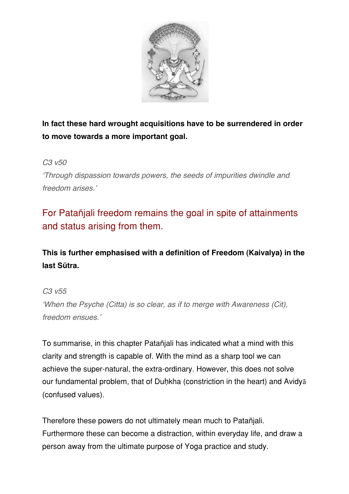

**In fact these hard wrought acquisitions have to be surrendered in order to move towards a more important goal.**

#### *C3 v50*

ʻ*Through dispassion towards powers, the seeds of impurities dwindle and freedom arises.*'

# For Patañjali freedom remains the goal in spite of attainments and status arising from them.

**This is further emphasised with a definition of Freedom (Kaivalya) in the last Sūtra.**

#### *C3 v55*

ʻ*When the Psyche (Citta) is so clear, as if to merge with Awareness (Cit), freedom ensues.*'

To summarise, in this chapter Patañjali has indicated what a mind with this clarity and strength is capable of. With the mind as a sharp tool we can achieve the super-natural, the extra-ordinary. However, this does not solve our fundamental problem, that of Duḥkha (constriction in the heart) and Avidyā (confused values).

Therefore these powers do not ultimately mean much to Patañjali. Furthermore these can become a distraction, within everyday life, and draw a person away from the ultimate purpose of Yoga practice and study.